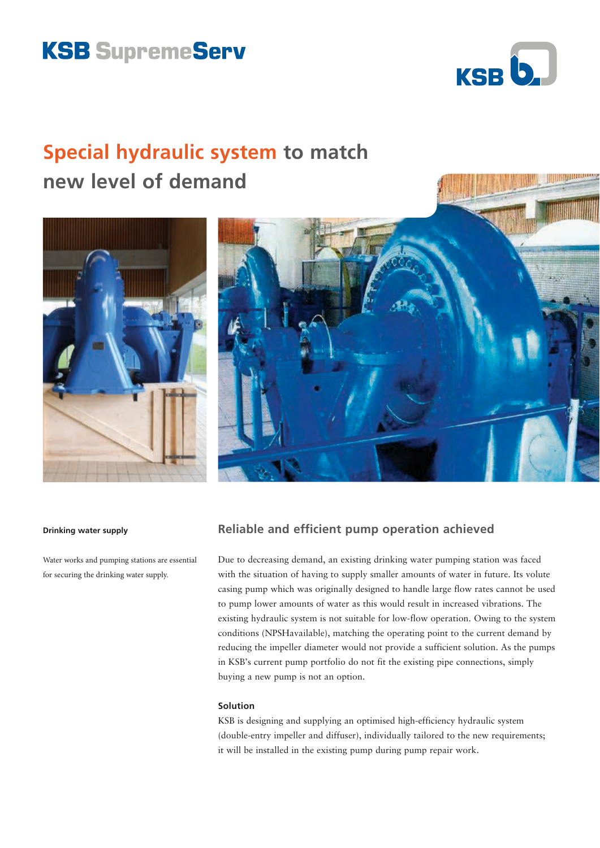# **KSB SupremeServ**



**INING ANGELE** 

## **Special hydraulic system to match new level of demand**





#### **Drinking water supply**

Water works and pumping stations are essential for securing the drinking water supply.

## **Reliable and efficient pump operation achieved**

Due to decreasing demand, an existing drinking water pumping station was faced with the situation of having to supply smaller amounts of water in future. Its volute casing pump which was originally designed to handle large flow rates cannot be used to pump lower amounts of water as this would result in increased vibrations. The existing hydraulic system is not suitable for low-flow operation. Owing to the system conditions (NPSHavailable), matching the operating point to the current demand by reducing the impeller diameter would not provide a sufficient solution. As the pumps in KSB's current pump portfolio do not fit the existing pipe connections, simply buying a new pump is not an option.

## **Solution**

KSB is designing and supplying an optimised high-efficiency hydraulic system (double-entry impeller and diffuser), individually tailored to the new requirements; it will be installed in the existing pump during pump repair work.